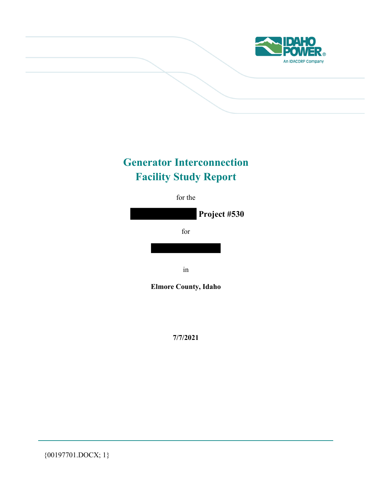

# **Generator Interconnection Facility Study Report**



**7/7/2021** 

{00197701.DOCX; 1}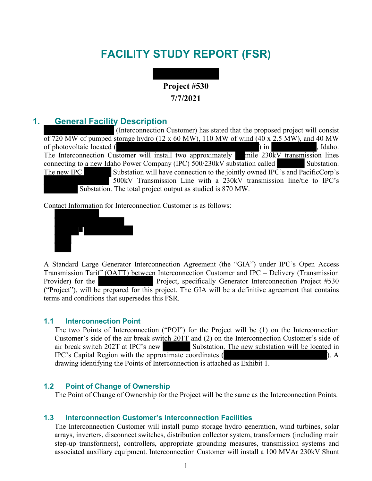# **FACILITY STUDY REPORT (FSR)**



### **1. General Facility Description**

 (Interconnection Customer) has stated that the proposed project will consist of 720 MW of pumped storage hydro (12 x 60 MW), 110 MW of wind (40 x 2.5 MW), and 40 MW of photovoltaic located ( ) in , Idaho. The Interconnection Customer will install two approximately mile 230kV transmission lines connecting to a new Idaho Power Company (IPC) 500/230kV substation called Substation. The new IPC Substation will have connection to the jointly owned IPC's and PacificCorp's 500kV Transmission Line with a 230kV transmission line/tie to IPC's Substation. The total project output as studied is 870 MW.

Contact Information for Interconnection Customer is as follows:



A Standard Large Generator Interconnection Agreement (the "GIA") under IPC's Open Access Transmission Tariff (OATT) between Interconnection Customer and IPC – Delivery (Transmission Provider) for the **Project**, specifically Generator Interconnection Project #530 ("Project"), will be prepared for this project. The GIA will be a definitive agreement that contains terms and conditions that supersedes this FSR.

#### **1.1 Interconnection Point**

The two Points of Interconnection ("POI") for the Project will be (1) on the Interconnection Customer's side of the air break switch 201T and (2) on the Interconnection Customer's side of air break switch 202T at IPC's new Substation. The new substation will be located in IPC's Capital Region with the approximate coordinates ( ). A drawing identifying the Points of Interconnection is attached as Exhibit 1.

#### **1.2 Point of Change of Ownership**

The Point of Change of Ownership for the Project will be the same as the Interconnection Points.

#### **1.3 Interconnection Customer's Interconnection Facilities**

The Interconnection Customer will install pump storage hydro generation, wind turbines, solar arrays, inverters, disconnect switches, distribution collector system, transformers (including main step-up transformers), controllers, appropriate grounding measures, transmission systems and associated auxiliary equipment. Interconnection Customer will install a 100 MVAr 230kV Shunt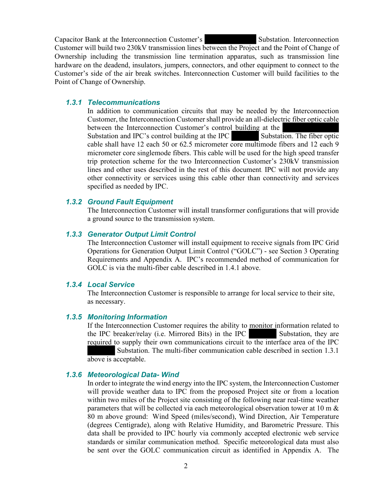Capacitor Bank at the Interconnection Customer's Substation. Interconnection Customer will build two 230kV transmission lines between the Project and the Point of Change of Ownership including the transmission line termination apparatus, such as transmission line hardware on the deadend, insulators, jumpers, connectors, and other equipment to connect to the Customer's side of the air break switches. Interconnection Customer will build facilities to the Point of Change of Ownership.

#### *1.3.1 Telecommunications*

In addition to communication circuits that may be needed by the Interconnection Customer, the Interconnection Customer shall provide an all-dielectric fiber optic cable between the Interconnection Customer's control building at the Substation and IPC's control building at the IPC Substation. The fiber optic cable shall have 12 each 50 or 62.5 micrometer core multimode fibers and 12 each 9 micrometer core singlemode fibers. This cable will be used for the high speed transfer trip protection scheme for the two Interconnection Customer's 230kV transmission lines and other uses described in the rest of this document. IPC will not provide any other connectivity or services using this cable other than connectivity and services specified as needed by IPC.

#### *1.3.2 Ground Fault Equipment*

The Interconnection Customer will install transformer configurations that will provide a ground source to the transmission system.

#### *1.3.3 Generator Output Limit Control*

The Interconnection Customer will install equipment to receive signals from IPC Grid Operations for Generation Output Limit Control ("GOLC") - see Section 3 Operating Requirements and Appendix A. IPC's recommended method of communication for GOLC is via the multi-fiber cable described in 1.4.1 above.

#### *1.3.4 Local Service*

The Interconnection Customer is responsible to arrange for local service to their site, as necessary.

### *1.3.5 Monitoring Information*

If the Interconnection Customer requires the ability to monitor information related to the IPC breaker/relay (i.e. Mirrored Bits) in the IPC Substation, they are required to supply their own communications circuit to the interface area of the IPC Substation. The multi-fiber communication cable described in section 1.3.1 above is acceptable.

#### *1.3.6 Meteorological Data- Wind*

In order to integrate the wind energy into the IPC system, the Interconnection Customer will provide weather data to IPC from the proposed Project site or from a location within two miles of the Project site consisting of the following near real-time weather parameters that will be collected via each meteorological observation tower at 10 m  $\&$ 80 m above ground: Wind Speed (miles/second), Wind Direction, Air Temperature (degrees Centigrade), along with Relative Humidity, and Barometric Pressure. This data shall be provided to IPC hourly via commonly accepted electronic web service standards or similar communication method. Specific meteorological data must also be sent over the GOLC communication circuit as identified in Appendix A. The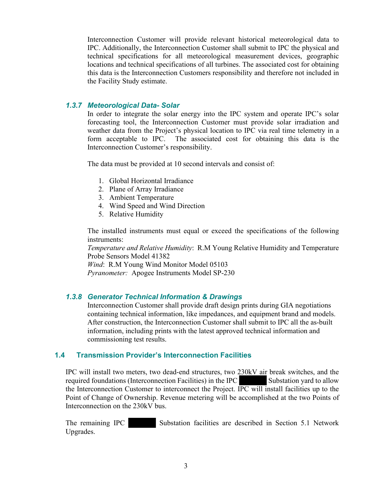Interconnection Customer will provide relevant historical meteorological data to IPC. Additionally, the Interconnection Customer shall submit to IPC the physical and technical specifications for all meteorological measurement devices, geographic locations and technical specifications of all turbines. The associated cost for obtaining this data is the Interconnection Customers responsibility and therefore not included in the Facility Study estimate.

### *1.3.7 Meteorological Data- Solar*

In order to integrate the solar energy into the IPC system and operate IPC's solar forecasting tool, the Interconnection Customer must provide solar irradiation and weather data from the Project's physical location to IPC via real time telemetry in a form acceptable to IPC. The associated cost for obtaining this data is the Interconnection Customer's responsibility.

The data must be provided at 10 second intervals and consist of:

- 1. Global Horizontal Irradiance
- 2. Plane of Array Irradiance
- 3. Ambient Temperature
- 4. Wind Speed and Wind Direction
- 5. Relative Humidity

The installed instruments must equal or exceed the specifications of the following instruments:

*Temperature and Relative Humidity*: R.M Young Relative Humidity and Temperature Probe Sensors Model 41382

*Wind*: R.M Young Wind Monitor Model 05103

*Pyranometer:* Apogee Instruments Model SP-230

### *1.3.8 Generator Technical Information & Drawings*

Interconnection Customer shall provide draft design prints during GIA negotiations containing technical information, like impedances, and equipment brand and models. After construction, the Interconnection Customer shall submit to IPC all the as-built information, including prints with the latest approved technical information and commissioning test results.

### **1.4 Transmission Provider's Interconnection Facilities**

IPC will install two meters, two dead-end structures, two 230kV air break switches, and the required foundations (Interconnection Facilities) in the IPC Substation yard to allow the Interconnection Customer to interconnect the Project. IPC will install facilities up to the Point of Change of Ownership. Revenue metering will be accomplished at the two Points of Interconnection on the 230kV bus.

The remaining IPC Substation facilities are described in Section 5.1 Network Upgrades.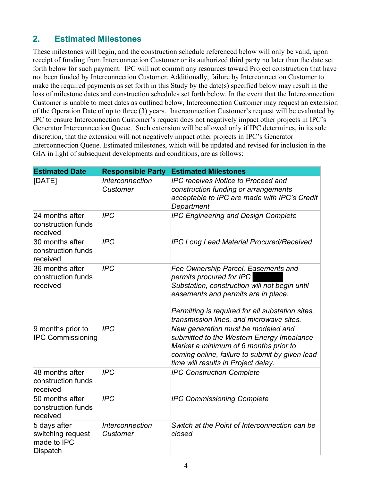# **2. Estimated Milestones**

These milestones will begin, and the construction schedule referenced below will only be valid, upon receipt of funding from Interconnection Customer or its authorized third party no later than the date set forth below for such payment. IPC will not commit any resources toward Project construction that have not been funded by Interconnection Customer. Additionally, failure by Interconnection Customer to make the required payments as set forth in this Study by the date(s) specified below may result in the loss of milestone dates and construction schedules set forth below. In the event that the Interconnection Customer is unable to meet dates as outlined below, Interconnection Customer may request an extension of the Operation Date of up to three (3) years. Interconnection Customer's request will be evaluated by IPC to ensure Interconnection Customer's request does not negatively impact other projects in IPC's Generator Interconnection Queue. Such extension will be allowed only if IPC determines, in its sole discretion, that the extension will not negatively impact other projects in IPC's Generator Interconnection Queue. Estimated milestones, which will be updated and revised for inclusion in the GIA in light of subsequent developments and conditions, are as follows:

| <b>Estimated Date</b>                                        | <b>Responsible Party</b>           | <b>Estimated Milestones</b>                                                                                                                                                                                                                             |
|--------------------------------------------------------------|------------------------------------|---------------------------------------------------------------------------------------------------------------------------------------------------------------------------------------------------------------------------------------------------------|
| [DATE]                                                       | <b>Interconnection</b><br>Customer | <b>IPC receives Notice to Proceed and</b><br>construction funding or arrangements<br>acceptable to IPC are made with IPC's Credit<br>Department                                                                                                         |
| 24 months after<br>construction funds<br>received            | <b>IPC</b>                         | <b>IPC Engineering and Design Complete</b>                                                                                                                                                                                                              |
| 30 months after<br>construction funds<br>received            | <b>IPC</b>                         | <b>IPC Long Lead Material Procured/Received</b>                                                                                                                                                                                                         |
| 36 months after<br>construction funds<br>received            | <b>IPC</b>                         | Fee Ownership Parcel, Easements and<br>permits procured for IPC<br>Substation, construction will not begin until<br>easements and permits are in place.<br>Permitting is required for all substation sites,<br>transmission lines, and microwave sites. |
| 9 months prior to<br><b>IPC Commissioning</b>                | <b>IPC</b>                         | New generation must be modeled and<br>submitted to the Western Energy Imbalance<br>Market a minimum of 6 months prior to<br>coming online, failure to submit by given lead<br>time will results in Project delay.                                       |
| 48 months after<br>construction funds<br>received            | <b>IPC</b>                         | <b>IPC Construction Complete</b>                                                                                                                                                                                                                        |
| 50 months after<br>construction funds<br>received            | <b>IPC</b>                         | <b>IPC Commissioning Complete</b>                                                                                                                                                                                                                       |
| 5 days after<br>switching request<br>made to IPC<br>Dispatch | <b>Interconnection</b><br>Customer | Switch at the Point of Interconnection can be<br>closed                                                                                                                                                                                                 |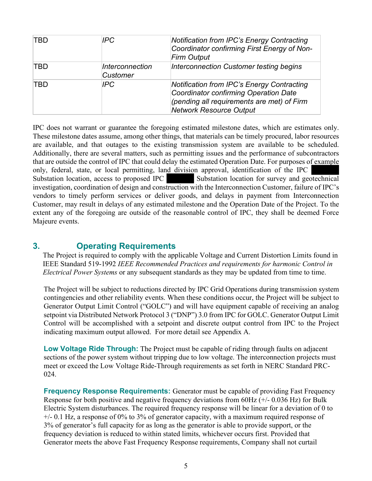| TBD | IPC.                               | <b>Notification from IPC's Energy Contracting</b><br>Coordinator confirming First Energy of Non-<br><b>Firm Output</b>                                                     |
|-----|------------------------------------|----------------------------------------------------------------------------------------------------------------------------------------------------------------------------|
| TBD | Interconnection<br><b>Customer</b> | Interconnection Customer testing begins                                                                                                                                    |
| TBD | IPC.                               | <b>Notification from IPC's Energy Contracting</b><br>Coordinator confirming Operation Date<br>(pending all requirements are met) of Firm<br><b>Network Resource Output</b> |

IPC does not warrant or guarantee the foregoing estimated milestone dates, which are estimates only. These milestone dates assume, among other things, that materials can be timely procured, labor resources are available, and that outages to the existing transmission system are available to be scheduled. Additionally, there are several matters, such as permitting issues and the performance of subcontractors that are outside the control of IPC that could delay the estimated Operation Date. For purposes of example only, federal, state, or local permitting, land division approval, identification of the IPC Substation location, access to proposed IPC Substation location for survey and geotechnical investigation, coordination of design and construction with the Interconnection Customer, failure of IPC's vendors to timely perform services or deliver goods, and delays in payment from Interconnection Customer, may result in delays of any estimated milestone and the Operation Date of the Project. To the extent any of the foregoing are outside of the reasonable control of IPC, they shall be deemed Force Majeure events.

### **3. Operating Requirements**

The Project is required to comply with the applicable Voltage and Current Distortion Limits found in IEEE Standard 519-1992 *IEEE Recommended Practices and requirements for harmonic Control in Electrical Power Systems* or any subsequent standards as they may be updated from time to time.

The Project will be subject to reductions directed by IPC Grid Operations during transmission system contingencies and other reliability events. When these conditions occur, the Project will be subject to Generator Output Limit Control ("GOLC") and will have equipment capable of receiving an analog setpoint via Distributed Network Protocol 3 ("DNP") 3.0 from IPC for GOLC. Generator Output Limit Control will be accomplished with a setpoint and discrete output control from IPC to the Project indicating maximum output allowed. For more detail see Appendix A.

**Low Voltage Ride Through:** The Project must be capable of riding through faults on adjacent sections of the power system without tripping due to low voltage. The interconnection projects must meet or exceed the Low Voltage Ride-Through requirements as set forth in NERC Standard PRC-024.

**Frequency Response Requirements:** Generator must be capable of providing Fast Frequency Response for both positive and negative frequency deviations from 60Hz (+/- 0.036 Hz) for Bulk Electric System disturbances. The required frequency response will be linear for a deviation of 0 to  $+/-$  0.1 Hz, a response of 0% to 3% of generator capacity, with a maximum required response of 3% of generator's full capacity for as long as the generator is able to provide support, or the frequency deviation is reduced to within stated limits, whichever occurs first. Provided that Generator meets the above Fast Frequency Response requirements, Company shall not curtail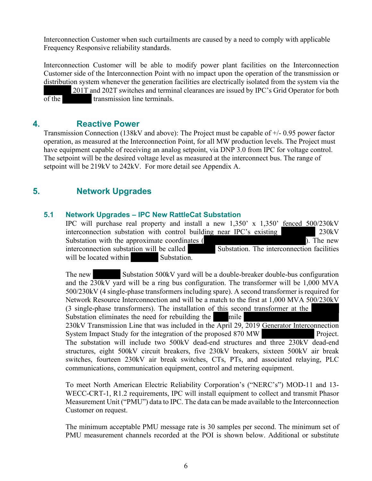Interconnection Customer when such curtailments are caused by a need to comply with applicable Frequency Responsive reliability standards.

Interconnection Customer will be able to modify power plant facilities on the Interconnection Customer side of the Interconnection Point with no impact upon the operation of the transmission or distribution system whenever the generation facilities are electrically isolated from the system via the

 201T and 202T switches and terminal clearances are issued by IPC's Grid Operator for both of the transmission line terminals.

### **4. Reactive Power**

Transmission Connection (138kV and above): The Project must be capable of +/- 0.95 power factor operation, as measured at the Interconnection Point, for all MW production levels. The Project must have equipment capable of receiving an analog setpoint, via DNP 3.0 from IPC for voltage control. The setpoint will be the desired voltage level as measured at the interconnect bus. The range of setpoint will be 219kV to 242kV. For more detail see Appendix A.

### **5. Network Upgrades**

#### **5.1 Network Upgrades – IPC New RattleCat Substation**

IPC will purchase real property and install a new 1,350' x 1,350' fenced 500/230kV interconnection substation with control building near IPC's existing 230kV Substation with the approximate coordinates ( ). The new interconnection substation will be called Substation. The interconnection facilities will be located within Substation.

The new Substation 500kV yard will be a double-breaker double-bus configuration and the 230kV yard will be a ring bus configuration. The transformer will be 1,000 MVA 500/230kV (4 single-phase transformers including spare). A second transformer is required for Network Resource Interconnection and will be a match to the first at 1,000 MVA 500/230kV (3 single-phase transformers). The installation of this second transformer at the

Substation eliminates the need for rebuilding the mile 230kV Transmission Line that was included in the April 29, 2019 Generator Interconnection System Impact Study for the integration of the proposed 870 MW Project. The substation will include two 500kV dead-end structures and three 230kV dead-end structures, eight 500kV circuit breakers, five 230kV breakers, sixteen 500kV air break switches, fourteen 230kV air break switches, CTs, PTs, and associated relaying, PLC communications, communication equipment, control and metering equipment.

To meet North American Electric Reliability Corporation's ("NERC's") MOD-11 and 13- WECC-CRT-1, R1.2 requirements, IPC will install equipment to collect and transmit Phasor Measurement Unit ("PMU") data to IPC. The data can be made available to the Interconnection Customer on request.

The minimum acceptable PMU message rate is 30 samples per second. The minimum set of PMU measurement channels recorded at the POI is shown below. Additional or substitute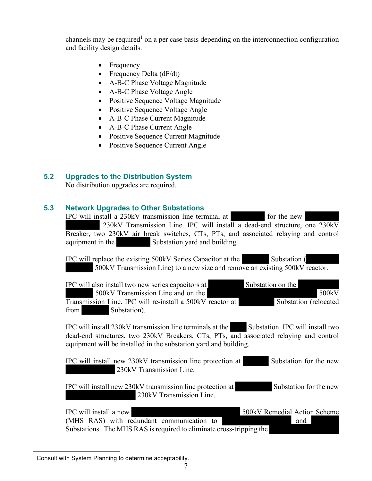channels may be required<sup>1</sup> on a per case basis depending on the interconnection configuration and facility design details.

- Frequency
- Frequency Delta  $(dF/dt)$
- A-B-C Phase Voltage Magnitude
- A-B-C Phase Voltage Angle
- Positive Sequence Voltage Magnitude
- Positive Sequence Voltage Angle
- A-B-C Phase Current Magnitude
- A-B-C Phase Current Angle
- Positive Sequence Current Magnitude
- Positive Sequence Current Angle

### **5.2 Upgrades to the Distribution System**

No distribution upgrades are required.

### **5.3 Network Upgrades to Other Substations**

IPC will install a 230kV transmission line terminal at for the new 230kV Transmission Line. IPC will install a dead-end structure, one 230kV Breaker, two 230kV air break switches, CTs, PTs, and associated relaying and control equipment in the Substation yard and building. IPC will replace the existing 500kV Series Capacitor at the Substation (

 500kV Transmission Line) to a new size and remove an existing 500kV reactor. IPC will also install two new series capacitors at Substation on the

500kV Transmission Line and on the 500kV 500kV

Transmission Line. IPC will re-install a 500kV reactor at Substation (relocated from Substation).

IPC will install 230kV transmission line terminals at the Substation. IPC will install two dead-end structures, two 230kV Breakers, CTs, PTs, and associated relaying and control equipment will be installed in the substation yard and building.

IPC will install new 230kV transmission line protection at Substation for the new 230kV Transmission Line.

IPC will install new 230kV transmission line protection at Substation for the new 230kV Transmission Line.

IPC will install a new 500kV Remedial Action Scheme (MHS RAS) with redundant communication to and Substations. The MHS RAS is required to eliminate cross-tripping the

<sup>&</sup>lt;sup>1</sup> Consult with System Planning to determine acceptability.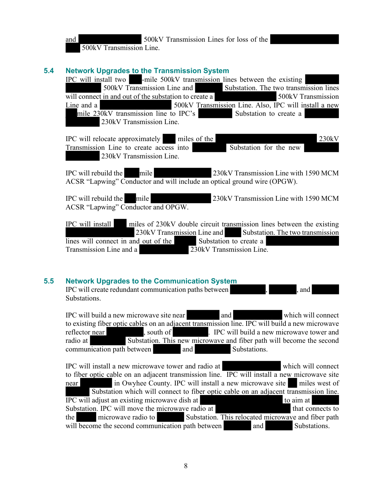and 500kV Transmission Lines for loss of the 500kV Transmission Line.

### **5.4 Network Upgrades to the Transmission System**

IPC will install two -mile 500kV transmission lines between the existing 500kV Transmission Line and Substation. The two transmission lines will connect in and out of the substation to create a 500kV Transmission Line and a 500kV Transmission Line. Also, IPC will install a new mile 230kV transmission line to IPC's Substation to create a 230kV Transmission Line.

IPC will relocate approximately miles of the 230kV Transmission Line to create access into Substation for the new 230kV Transmission Line.

IPC will rebuild the mile 230kV Transmission Line with 1590 MCM ACSR "Lapwing" Conductor and will include an optical ground wire (OPGW).

IPC will rebuild the mile 230kV Transmission Line with 1590 MCM ACSR "Lapwing" Conductor and OPGW.

IPC will install miles of 230kV double circuit transmission lines between the existing 230kV Transmission Line and Substation. The two transmission lines will connect in and out of the Substation to create a Transmission Line and a 230kV Transmission Line.

### **5.5 Network Upgrades to the Communication System**

IPC will create redundant communication paths between , , , , and Substations.

IPC will build a new microwave site near and and which will connect to existing fiber optic cables on an adjacent transmission line. IPC will build a new microwave reflector near , south of . IPC will build a new microwave tower and radio at Substation. This new microwave and fiber path will become the second communication path between and Substations.

IPC will install a new microwave tower and radio at which will connect to fiber optic cable on an adjacent transmission line. IPC will install a new microwave site near in Owyhee County. IPC will install a new microwave site miles west of Substation which will connect to fiber optic cable on an adjacent transmission line. IPC will adjust an existing microwave dish at to aim at Substation. IPC will move the microwave radio at that connects to the microwave radio to Substation. This relocated microwave and fiber path will become the second communication path between and Substations.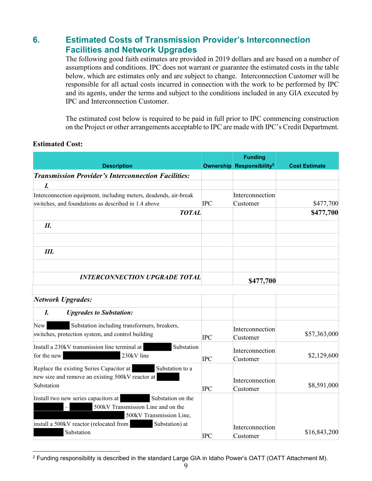## **6. Estimated Costs of Transmission Provider's Interconnection Facilities and Network Upgrades**

The following good faith estimates are provided in 2019 dollars and are based on a number of assumptions and conditions. IPC does not warrant or guarantee the estimated costs in the table below, which are estimates only and are subject to change. Interconnection Customer will be responsible for all actual costs incurred in connection with the work to be performed by IPC and its agents, under the terms and subject to the conditions included in any GIA executed by IPC and Interconnection Customer.

The estimated cost below is required to be paid in full prior to IPC commencing construction on the Project or other arrangements acceptable to IPC are made with IPC's Credit Department.

### **Estimated Cost:**

| <b>Description</b>                                                                                                            |            | <b>Funding</b><br><b>Ownership Responsibility<sup>2</sup></b> | <b>Cost Estimate</b> |
|-------------------------------------------------------------------------------------------------------------------------------|------------|---------------------------------------------------------------|----------------------|
| <b>Transmission Provider's Interconnection Facilities:</b>                                                                    |            |                                                               |                      |
| I.                                                                                                                            |            |                                                               |                      |
| Interconnection equipment, including meters, deadends, air-break                                                              |            | Interconnection                                               |                      |
| switches, and foundations as described in 1.4 above                                                                           | <b>IPC</b> | Customer                                                      | \$477,700            |
| <b>TOTAL</b>                                                                                                                  |            |                                                               | \$477,700            |
| II.                                                                                                                           |            |                                                               |                      |
|                                                                                                                               |            |                                                               |                      |
| Ш.                                                                                                                            |            |                                                               |                      |
| <b>INTERCONNECTION UPGRADE TOTAL</b>                                                                                          |            | \$477,700                                                     |                      |
| Network Upgrades:                                                                                                             |            |                                                               |                      |
| I.<br><b>Upgrades to Substation:</b>                                                                                          |            |                                                               |                      |
| Substation including transformers, breakers,<br>New<br>switches, protection system, and control building                      | <b>IPC</b> | Interconnection<br>Customer                                   | \$57,363,000         |
| Substation<br>Install a 230kV transmission line terminal at<br>230kV line<br>for the new                                      | <b>IPC</b> | Interconnection<br>Customer                                   | \$2,129,600          |
| Replace the existing Series Capacitor at<br>Substation to a<br>new size and remove an existing 500kV reactor at<br>Substation | <b>IPC</b> | Interconnection<br>Customer                                   | \$8,591,000          |
| Install two new series capacitors at<br>Substation on the<br>500kV Transmission Line and on the<br>500kV Transmission Line,   |            |                                                               |                      |
| install a 500kV reactor (relocated from<br>Substation) at<br>Substation                                                       | <b>IPC</b> | Interconnection<br>Customer                                   | \$16,843,200         |

<sup>2</sup> Funding responsibility is described in the standard Large GIA in Idaho Power's OATT (OATT Attachment M).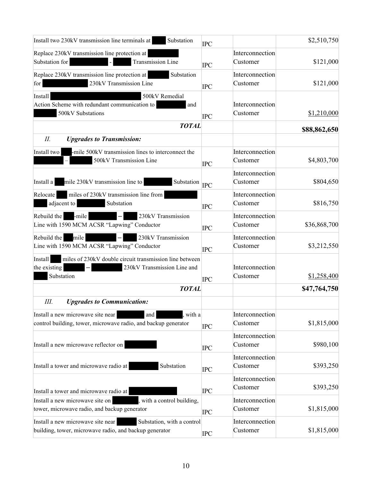| Substation<br>Install two 230kV transmission line terminals at                                                                  | <b>IPC</b> |                             | \$2,510,750  |
|---------------------------------------------------------------------------------------------------------------------------------|------------|-----------------------------|--------------|
| Replace 230kV transmission line protection at<br>Transmission Line<br>Substation for                                            | <b>IPC</b> | Interconnection<br>Customer | \$121,000    |
| Substation<br>Replace 230kV transmission line protection at<br>230kV Transmission Line<br>for                                   | <b>IPC</b> | Interconnection<br>Customer | \$121,000    |
| Install<br>500kV Remedial<br>Action Scheme with redundant communication to<br>and<br>500kV Substations                          | <b>IPC</b> | Interconnection<br>Customer | \$1,210,000  |
| <b>TOTAL</b>                                                                                                                    |            |                             | \$88,862,650 |
| Н.<br><b>Upgrades to Transmission:</b>                                                                                          |            |                             |              |
| -mile 500kV transmission lines to interconnect the<br>Install two<br>500kV Transmission Line                                    | <b>IPC</b> | Interconnection<br>Customer | \$4,803,700  |
| Install a<br>mile 230kV transmission line to<br>Substation <sub>IPC</sub>                                                       |            | Interconnection<br>Customer | \$804,650    |
| Relocate<br>miles of 230kV transmission line from<br>adjacent to<br>Substation                                                  | <b>IPC</b> | Interconnection<br>Customer | \$816,750    |
| 230kV Transmission<br>Rebuild the<br>-mile<br>Line with 1590 MCM ACSR "Lapwing" Conductor                                       | <b>IPC</b> | Interconnection<br>Customer | \$36,868,700 |
| 230kV Transmission<br>Rebuild the<br>mile<br>Line with 1590 MCM ACSR "Lapwing" Conductor                                        | <b>IPC</b> | Interconnection<br>Customer | \$3,212,550  |
| Install<br>miles of 230kV double circuit transmission line between<br>the existing<br>230kV Transmission Line and<br>Substation | <b>IPC</b> | Interconnection<br>Customer | \$1,258,400  |
| <b>TOTAL</b>                                                                                                                    |            |                             | \$47,764,750 |
| Ш.<br><b>Upgrades to Communication:</b>                                                                                         |            |                             |              |
| Install a new microwave site near<br>and<br>with a<br>control building, tower, microwave radio, and backup generator            | <b>IPC</b> | Interconnection<br>Customer | \$1,815,000  |
| Install a new microwave reflector on                                                                                            | <b>IPC</b> | Interconnection<br>Customer | \$980,100    |
| Substation<br>Install a tower and microwave radio at                                                                            | <b>IPC</b> | Interconnection<br>Customer | \$393,250    |
| Install a tower and microwave radio at                                                                                          | <b>IPC</b> | Interconnection<br>Customer | \$393,250    |
| Install a new microwave site on<br>, with a control building,<br>tower, microwave radio, and backup generator                   | <b>IPC</b> | Interconnection<br>Customer | \$1,815,000  |
| Substation, with a control<br>Install a new microwave site near<br>building, tower, microwave radio, and backup generator       | <b>IPC</b> | Interconnection<br>Customer | \$1,815,000  |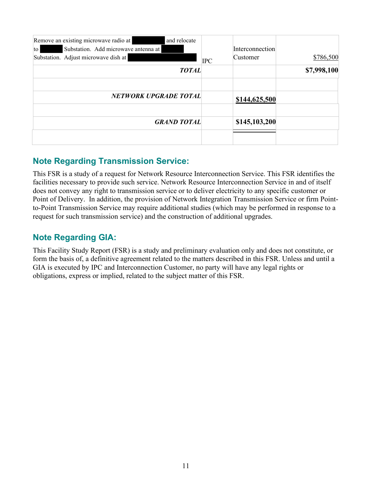| Remove an existing microwave radio at<br>and relocate<br>Substation. Add microwave antenna at<br>$\overline{a}$<br>Substation. Adjust microwave dish at | <b>IPC</b> | Interconnection<br>Customer | \$786,500   |
|---------------------------------------------------------------------------------------------------------------------------------------------------------|------------|-----------------------------|-------------|
| <b>TOTAL</b>                                                                                                                                            |            |                             | \$7,998,100 |
| <b>NETWORK UPGRADE TOTAL</b>                                                                                                                            |            | \$144,625,500               |             |
| <b>GRAND TOTAL</b>                                                                                                                                      |            | \$145,103,200               |             |
|                                                                                                                                                         |            |                             |             |

# **Note Regarding Transmission Service:**

This FSR is a study of a request for Network Resource Interconnection Service. This FSR identifies the facilities necessary to provide such service. Network Resource Interconnection Service in and of itself does not convey any right to transmission service or to deliver electricity to any specific customer or Point of Delivery. In addition, the provision of Network Integration Transmission Service or firm Pointto-Point Transmission Service may require additional studies (which may be performed in response to a request for such transmission service) and the construction of additional upgrades.

# **Note Regarding GIA:**

This Facility Study Report (FSR) is a study and preliminary evaluation only and does not constitute, or form the basis of, a definitive agreement related to the matters described in this FSR. Unless and until a GIA is executed by IPC and Interconnection Customer, no party will have any legal rights or obligations, express or implied, related to the subject matter of this FSR.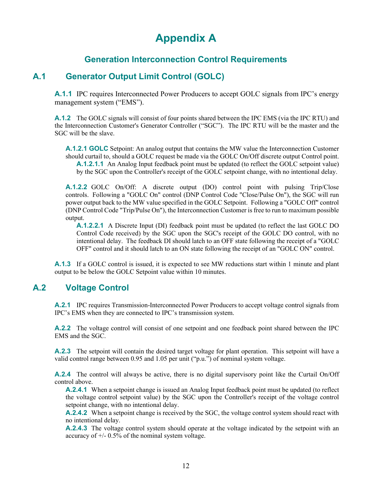# **Appendix A**

# **Generation Interconnection Control Requirements**

## **A.1 Generator Output Limit Control (GOLC)**

**A.1.1** IPC requires Interconnected Power Producers to accept GOLC signals from IPC's energy management system ("EMS").

**A.1.2** The GOLC signals will consist of four points shared between the IPC EMS (via the IPC RTU) and the Interconnection Customer's Generator Controller ("SGC"). The IPC RTU will be the master and the SGC will be the slave.

**A.1.2.1 GOLC** Setpoint: An analog output that contains the MW value the Interconnection Customer should curtail to, should a GOLC request be made via the GOLC On/Off discrete output Control point. **A.1.2.1.1** An Analog Input feedback point must be updated (to reflect the GOLC setpoint value) by the SGC upon the Controller's receipt of the GOLC setpoint change, with no intentional delay.

**A.1.2.2** GOLC On/Off: A discrete output (DO) control point with pulsing Trip/Close controls. Following a "GOLC On" control (DNP Control Code "Close/Pulse On"), the SGC will run power output back to the MW value specified in the GOLC Setpoint. Following a "GOLC Off" control (DNP Control Code "Trip/Pulse On"), the Interconnection Customer is free to run to maximum possible output.

**A.1.2.2.1** A Discrete Input (DI) feedback point must be updated (to reflect the last GOLC DO Control Code received) by the SGC upon the SGC's receipt of the GOLC DO control, with no intentional delay. The feedback DI should latch to an OFF state following the receipt of a "GOLC OFF" control and it should latch to an ON state following the receipt of an "GOLC ON" control.

**A.1.3** If a GOLC control is issued, it is expected to see MW reductions start within 1 minute and plant output to be below the GOLC Setpoint value within 10 minutes.

### **A.2 Voltage Control**

**A.2.1** IPC requires Transmission-Interconnected Power Producers to accept voltage control signals from IPC's EMS when they are connected to IPC's transmission system.

**A.2.2** The voltage control will consist of one setpoint and one feedback point shared between the IPC EMS and the SGC.

**A.2.3** The setpoint will contain the desired target voltage for plant operation. This setpoint will have a valid control range between 0.95 and 1.05 per unit ("p.u.") of nominal system voltage.

**A.2.4** The control will always be active, there is no digital supervisory point like the Curtail On/Off control above.

**A.2.4.1** When a setpoint change is issued an Analog Input feedback point must be updated (to reflect the voltage control setpoint value) by the SGC upon the Controller's receipt of the voltage control setpoint change, with no intentional delay.

**A.2.4.2** When a setpoint change is received by the SGC, the voltage control system should react with no intentional delay.

**A.2.4.3** The voltage control system should operate at the voltage indicated by the setpoint with an accuracy of  $+/- 0.5\%$  of the nominal system voltage.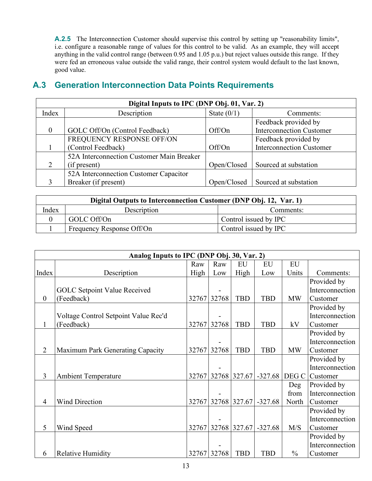A.2.5 The Interconnection Customer should supervise this control by setting up "reasonability limits", i.e. configure a reasonable range of values for this control to be valid. As an example, they will accept anything in the valid control range (between 0.95 and 1.05 p.u.) but reject values outside this range. If they were fed an erroneous value outside the valid range, their control system would default to the last known, good value.

| Digital Inputs to IPC (DNP Obj. 01, Var. 2) |                                           |               |                                 |  |  |  |  |  |
|---------------------------------------------|-------------------------------------------|---------------|---------------------------------|--|--|--|--|--|
| Index                                       | Description                               | State $(0/1)$ | Comments:                       |  |  |  |  |  |
|                                             |                                           |               | Feedback provided by            |  |  |  |  |  |
| $\theta$                                    | GOLC Off/On (Control Feedback)            | Off/On        | <b>Interconnection Customer</b> |  |  |  |  |  |
|                                             | FREQUENCY RESPONSE OFF/ON                 |               | Feedback provided by            |  |  |  |  |  |
|                                             | (Control Feedback)                        | Off/On        | <b>Interconnection Customer</b> |  |  |  |  |  |
|                                             | 52A Interconnection Customer Main Breaker |               |                                 |  |  |  |  |  |
|                                             | (if present)                              | Open/Closed   | Sourced at substation           |  |  |  |  |  |
|                                             | 52A Interconnection Customer Capacitor    |               |                                 |  |  |  |  |  |
|                                             | Breaker (if present)                      | Open/Closed   | Sourced at substation           |  |  |  |  |  |

# **A.3 Generation Interconnection Data Points Requirements**

| Digital Outputs to Interconnection Customer (DNP Obj. 12, Var. 1) |                           |                       |  |  |  |  |  |
|-------------------------------------------------------------------|---------------------------|-----------------------|--|--|--|--|--|
| Index                                                             | Description               | Comments:             |  |  |  |  |  |
|                                                                   | GOLC Off/On               | Control issued by IPC |  |  |  |  |  |
|                                                                   | Frequency Response Off/On | Control issued by IPC |  |  |  |  |  |

|                | Analog Inputs to IPC (DNP Obj. 30, Var. 2) |       |             |                    |            |               |                 |  |  |
|----------------|--------------------------------------------|-------|-------------|--------------------|------------|---------------|-----------------|--|--|
|                |                                            | Raw   | Raw         | EU                 | EU         | EU            |                 |  |  |
| Index          | Description                                | High  | Low         | High               | Low        | Units         | Comments:       |  |  |
|                |                                            |       |             |                    |            |               | Provided by     |  |  |
|                | <b>GOLC Setpoint Value Received</b>        |       |             |                    |            |               | Interconnection |  |  |
| $\mathbf{0}$   | (Feedback)                                 |       | 32767 32768 | <b>TBD</b>         | <b>TBD</b> | <b>MW</b>     | Customer        |  |  |
|                |                                            |       |             |                    |            |               | Provided by     |  |  |
|                | Voltage Control Setpoint Value Rec'd       |       |             |                    |            |               | Interconnection |  |  |
| $\mathbf{1}$   | (Feedback)                                 |       | 32767 32768 | <b>TBD</b>         | <b>TBD</b> | kV            | Customer        |  |  |
|                |                                            |       |             |                    |            |               | Provided by     |  |  |
|                |                                            |       |             |                    |            |               | Interconnection |  |  |
| $\overline{2}$ | Maximum Park Generating Capacity           |       | 32767 32768 | <b>TBD</b>         | <b>TBD</b> | <b>MW</b>     | Customer        |  |  |
|                |                                            |       |             |                    |            |               | Provided by     |  |  |
|                |                                            |       |             |                    |            |               | Interconnection |  |  |
| $\overline{3}$ | <b>Ambient Temperature</b>                 |       |             | 32767 32768 327.67 | $-327.68$  | DEG C         | Customer        |  |  |
|                |                                            |       |             |                    |            | Deg           | Provided by     |  |  |
|                |                                            |       |             |                    |            | from          | Interconnection |  |  |
| 4              | <b>Wind Direction</b>                      | 32767 |             | 32768 327.67       | $-327.68$  | North         | Customer        |  |  |
|                |                                            |       |             |                    |            |               | Provided by     |  |  |
|                |                                            |       |             |                    |            |               | Interconnection |  |  |
| 5              | Wind Speed                                 |       |             | 32767 32768 327.67 | $-327.68$  | M/S           | Customer        |  |  |
|                |                                            |       |             |                    |            |               | Provided by     |  |  |
|                |                                            |       |             |                    |            |               | Interconnection |  |  |
| 6              | <b>Relative Humidity</b>                   |       | 32767 32768 | <b>TBD</b>         | <b>TBD</b> | $\frac{0}{0}$ | Customer        |  |  |